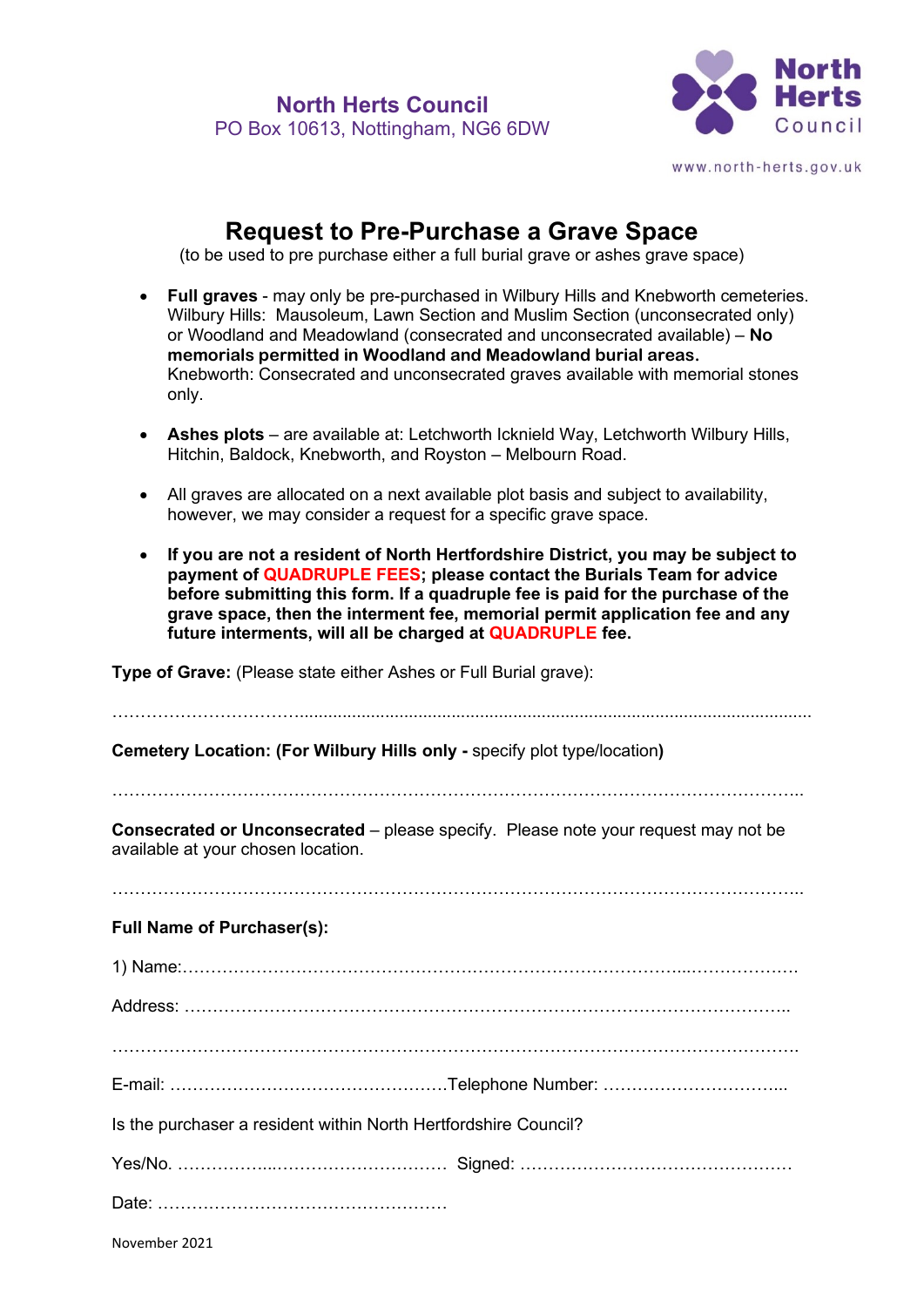

## **Request to Pre-Purchase a Grave Space**

(to be used to pre purchase either a full burial grave or ashes grave space)

- **Full graves** may only be pre-purchased in Wilbury Hills and Knebworth cemeteries. Wilbury Hills: Mausoleum, Lawn Section and Muslim Section (unconsecrated only) or Woodland and Meadowland (consecrated and unconsecrated available) – **No memorials permitted in Woodland and Meadowland burial areas.**  Knebworth: Consecrated and unconsecrated graves available with memorial stones only.
- **Ashes plots** are available at: Letchworth Icknield Way, Letchworth Wilbury Hills, Hitchin, Baldock, Knebworth, and Royston – Melbourn Road.
- All graves are allocated on a next available plot basis and subject to availability, however, we may consider a request for a specific grave space.
- **If you are not a resident of North Hertfordshire District, you may be subject to payment of QUADRUPLE FEES; please contact the Burials Team for advice before submitting this form. If a quadruple fee is paid for the purchase of the grave space, then the interment fee, memorial permit application fee and any future interments, will all be charged at QUADRUPLE fee.**

**Type of Grave:** (Please state either Ashes or Full Burial grave):

| Cemetery Location: (For Wilbury Hills only - specify plot type/location)                                                        |  |  |
|---------------------------------------------------------------------------------------------------------------------------------|--|--|
| <b>Consecrated or Unconsecrated</b> – please specify. Please note your request may not be<br>available at your chosen location. |  |  |
| <b>Full Name of Purchaser(s):</b>                                                                                               |  |  |
|                                                                                                                                 |  |  |
|                                                                                                                                 |  |  |
|                                                                                                                                 |  |  |
|                                                                                                                                 |  |  |
| Is the purchaser a resident within North Hertfordshire Council?                                                                 |  |  |
|                                                                                                                                 |  |  |
|                                                                                                                                 |  |  |
|                                                                                                                                 |  |  |

November 2021